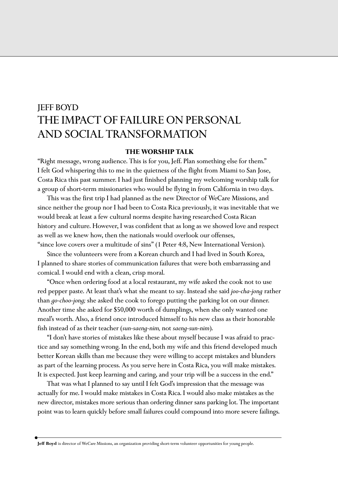# JEFF BOYD THE IMPACT OF FAILURE ON PERSONAL AND SOCIAL TRANSFORMATION

## **THE WORSHIP TALK**

"Right message, wrong audience. This is for you, Jeff. Plan something else for them." I felt God whispering this to me in the quietness of the flight from Miami to San Jose, Costa Rica this past summer. I had just finished planning my welcoming worship talk for a group of short-term missionaries who would be flying in from California in two days.

This was the first trip I had planned as the new Director of WeCare Missions, and since neither the group nor I had been to Costa Rica previously, it was inevitable that we would break at least a few cultural norms despite having researched Costa Rican history and culture. However, I was confident that as long as we showed love and respect as well as we knew how, then the nationals would overlook our offenses, "since love covers over a multitude of sins" (1 Peter 4:8, New International Version).

Since the volunteers were from a Korean church and I had lived in South Korea, I planned to share stories of communication failures that were both embarrassing and comical. I would end with a clean, crisp moral.

"Once when ordering food at a local restaurant, my wife asked the cook not to use red pepper paste. At least that's what she meant to say. Instead she said *joo-cha-jong* rather than *go-choo-jong;* she asked the cook to forego putting the parking lot on our dinner. Another time she asked for \$50,000 worth of dumplings, when she only wanted one meal's worth. Also, a friend once introduced himself to his new class as their honorable fish instead of as their teacher (*sun-saeng-nim,* not *saeng-sun-nim*).

"I don't have stories of mistakes like these about myself because I was afraid to practice and say something wrong. In the end, both my wife and this friend developed much better Korean skills than me because they were willing to accept mistakes and blunders as part of the learning process. As you serve here in Costa Rica, you will make mistakes. It is expected. Just keep learning and caring, and your trip will be a success in the end."

That was what I planned to say until I felt God's impression that the message was actually for me. I would make mistakes in Costa Rica. I would also make mistakes as the new director, mistakes more serious than ordering dinner sans parking lot. The important point was to learn quickly before small failures could compound into more severe failings.

**Jeff Boyd** is director of WeCare Missions, an organization providing short-term volunteer opportunities for young people.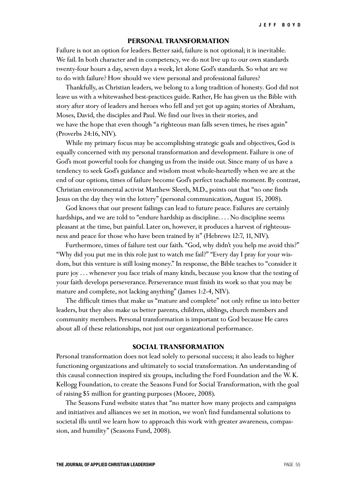## **PERSONAL TRANSFORMATION**

Failure is not an option for leaders. Better said, failure is not optional; it is inevitable. We fail. In both character and in competency, we do not live up to our own standards twenty-four hours a day, seven days a week, let alone God's standards. So what are we to do with failure? How should we view personal and professional failures?

Thankfully, as Christian leaders, we belong to a long tradition of honesty. God did not leave us with a whitewashed best-practices guide. Rather, He has given us the Bible with story after story of leaders and heroes who fell and yet got up again; stories of Abraham, Moses, David, the disciples and Paul. We find our lives in their stories, and we have the hope that even though "a righteous man falls seven times, he rises again" (Proverbs 24:16, NIV).

While my primary focus may be accomplishing strategic goals and objectives, God is equally concerned with my personal transformation and development. Failure is one of God's most powerful tools for changing us from the inside out. Since many of us have a tendency to seek God's guidance and wisdom most whole-heartedly when we are at the end of our options, times of failure become God's perfect teachable moment. By contrast, Christian environmental activist Matthew Sleeth, M.D., points out that "no one finds Jesus on the day they win the lottery" (personal communication, August 15, 2008).

God knows that our present failings can lead to future peace. Failures are certainly hardships, and we are told to "endure hardship as discipline. . . . No discipline seems pleasant at the time, but painful. Later on, however, it produces a harvest of righteousness and peace for those who have been trained by it" (Hebrews 12:7, 11, NIV).

Furthermore, times of failure test our faith. "God, why didn't you help me avoid this?" "Why did you put me in this role just to watch me fail?" "Every day I pray for your wisdom, but this venture is still losing money." In response, the Bible teaches to "consider it pure joy . . . whenever you face trials of many kinds, because you know that the testing of your faith develops perseverance. Perseverance must finish its work so that you may be mature and complete, not lacking anything" (James 1:2-4, NIV).

The difficult times that make us "mature and complete" not only refine us into better leaders, but they also make us better parents, children, siblings, church members and community members. Personal transformation is important to God because He cares about all of these relationships, not just our organizational performance.

## **SOCIAL TRANSFORMATION**

Personal transformation does not lead solely to personal success; it also leads to higher functioning organizations and ultimately to social transformation. An understanding of this causal connection inspired six groups, including the Ford Foundation and the W. K. Kellogg Foundation, to create the Seasons Fund for Social Transformation, with the goal of raising \$5 million for granting purposes (Moore, 2008).

The Seasons Fund website states that "no matter how many projects and campaigns and initiatives and alliances we set in motion, we won't find fundamental solutions to societal ills until we learn how to approach this work with greater awareness, compassion, and humility" (Seasons Fund, 2008).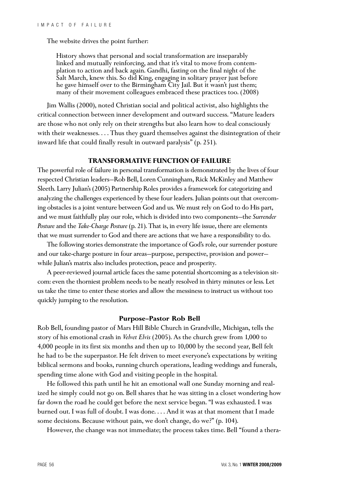The website drives the point further:

History shows that personal and social transformation are inseparably linked and mutually reinforcing, and that it's vital to move from contemplation to action and back again. Gandhi, fasting on the final night of the Salt March, knew this. So did King, engaging in solitary prayer just before he gave himself over to the Birmingham City Jail. But it wasn't just them; many of their movement colleagues embraced these practices too. (2008)

Jim Wallis (2000), noted Christian social and political activist, also highlights the critical connection between inner development and outward success. "Mature leaders are those who not only rely on their strengths but also learn how to deal consciously with their weaknesses. . . . Thus they guard themselves against the disintegration of their inward life that could finally result in outward paralysis" (p. 251).

### **TRANSFORMATIVE FUNCTION OF FAILURE**

The powerful role of failure in personal transformation is demonstrated by the lives of four respected Christian leaders—Rob Bell, Loren Cunningham, Rick McKinley and Matthew Sleeth. Larry Julian's (2005) Partnership Roles provides a framework for categorizing and analyzing the challenges experienced by these four leaders. Julian points out that overcoming obstacles is a joint venture between God and us. We must rely on God to do His part, and we must faithfully play our role, which is divided into two components—the *Surrender Posture*and the *Take-Charge Posture* (p. 21). That is, in every life issue, there are elements that we must surrender to God and there are actions that we have a responsibility to do.

The following stories demonstrate the importance of God's role, our surrender posture and our take-charge posture in four areas—purpose, perspective, provision and power while Julian's matrix also includes protection, peace and prosperity.

A peer-reviewed journal article faces the same potential shortcoming as a television sitcom: even the thorniest problem needs to be neatly resolved in thirty minutes or less. Let us take the time to enter these stories and allow the messiness to instruct us without too quickly jumping to the resolution.

#### **Purpose—Pastor Rob Bell**

Rob Bell, founding pastor of Mars Hill Bible Church in Grandville, Michigan, tells the story of his emotional crash in *Velvet Elvis* (2005). As the church grew from 1,000 to 4,000 people in its first six months and then up to 10,000 by the second year, Bell felt he had to be the superpastor. He felt driven to meet everyone's expectations by writing biblical sermons and books, running church operations, leading weddings and funerals, spending time alone with God and visiting people in the hospital.

He followed this path until he hit an emotional wall one Sunday morning and realized he simply could not go on. Bell shares that he was sitting in a closet wondering how far down the road he could get before the next service began. "I was exhausted. I was burned out. I was full of doubt. I was done. . . . And it was at that moment that I made some decisions. Because without pain, we don't change, do we?" (p. 104).

However, the change was not immediate; the process takes time. Bell "found a thera-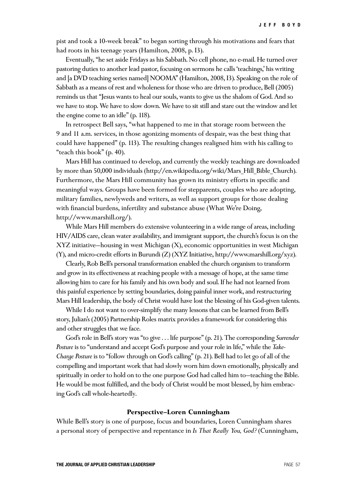pist and took a 10-week break" to began sorting through his motivations and fears that had roots in his teenage years (Hamilton, 2008, p. I3).

Eventually, "he set aside Fridays as his Sabbath. No cell phone, no e-mail. He turned over pastoring duties to another lead pastor, focusing on sermons he calls 'teachings,' his writing and [a DVD teaching series named] NOOMA" (Hamilton, 2008, I3). Speaking on the role of Sabbath as a means of rest and wholeness for those who are driven to produce, Bell (2005) reminds us that "Jesus wants to heal our souls, wants to give us the shalom of God. And so we have to stop. We have to slow down. We have to sit still and stare out the window and let the engine come to an idle" (p. 118).

In retrospect Bell says, "what happened to me in that storage room between the 9 and 11 a.m. services, in those agonizing moments of despair, was the best thing that could have happened" (p. 113). The resulting changes realigned him with his calling to "teach this book" (p. 40).

Mars Hill has continued to develop, and currently the weekly teachings are downloaded by more than 50,000 individuals (http://en.wikipedia.org/wiki/Mars\_Hill\_Bible\_Church). Furthermore, the Mars Hill community has grown its ministry efforts in specific and meaningful ways. Groups have been formed for stepparents, couples who are adopting, military families, newlyweds and writers, as well as support groups for those dealing with financial burdens, infertility and substance abuse (What We're Doing, http://www.marshill.org/).

While Mars Hill members do extensive volunteering in a wide range of areas, including HIV/AIDS care, clean water availability, and immigrant support, the church's focus is on the XYZ initiative—housing in west Michigan (X), economic opportunities in west Michigan (Y), and micro-credit efforts in Burundi (Z) (XYZ Initiative, http://www.marshill.org/xyz).

Clearly, Rob Bell's personal transformation enabled the church organism to transform and grow in its effectiveness at reaching people with a message of hope, at the same time allowing him to care for his family and his own body and soul. If he had not learned from this painful experience by setting boundaries, doing painful inner work, and restructuring Mars Hill leadership, the body of Christ would have lost the blessing of his God-given talents.

While I do not want to over-simplify the many lessons that can be learned from Bell's story, Julian's (2005) Partnership Roles matrix provides a framework for considering this and other struggles that we face.

God's role in Bell's story was "to give . . . life purpose" (p. 21). The corresponding *Surrender Posture* is to "understand and accept God's purpose and your role in life," while the *Take-Charge Posture* is to "follow through on God's calling" (p. 21). Bell had to let go of all of the compelling and important work that had slowly worn him down emotionally, physically and spiritually in order to hold on to the one purpose God had called him to—teaching the Bible. He would be most fulfilled, and the body of Christ would be most blessed, by him embracing God's call whole-heartedly.

#### **Perspective—Loren Cunningham**

While Bell's story is one of purpose, focus and boundaries, Loren Cunningham shares a personal story of perspective and repentance in *Is That Really You, God?* (Cunningham,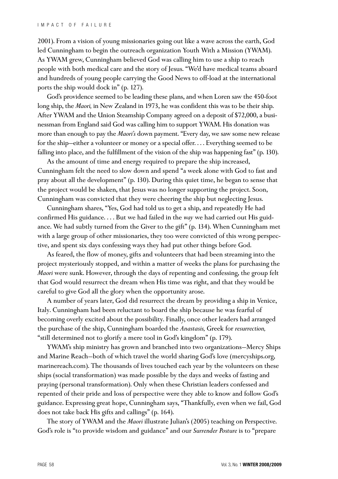2001). From a vision of young missionaries going out like a wave across the earth, God led Cunningham to begin the outreach organization Youth With a Mission (YWAM). As YWAM grew, Cunningham believed God was calling him to use a ship to reach people with both medical care and the story of Jesus. "We'd have medical teams aboard and hundreds of young people carrying the Good News to off-load at the international ports the ship would dock in" (p. 127).

God's providence seemed to be leading these plans, and when Loren saw the 450-foot long ship, the *Maori,* in New Zealand in 1973, he was confident this was to be their ship. After YWAM and the Union Steamship Company agreed on a deposit of \$72,000, a businessman from England said God was calling him to support YWAM. His donation was more than enough to pay the *Maori's* down payment. "Every day, we saw some new release for the ship—either a volunteer or money or a special offer. . . . Everything seemed to be falling into place, and the fulfillment of the vision of the ship was happening fast" (p. 130).

As the amount of time and energy required to prepare the ship increased, Cunningham felt the need to slow down and spend "a week alone with God to fast and pray about all the development" (p. 130). During this quiet time, he began to sense that the project would be shaken, that Jesus was no longer supporting the project. Soon, Cunningham was convicted that they were cheering the ship but neglecting Jesus.

Cunningham shares, "Yes, God had told us to get a ship, and repeatedly He had confirmed His guidance. . . . But we had failed in the *way* we had carried out His guidance. We had subtly turned from the Giver to the gift" (p. 134). When Cunningham met with a large group of other missionaries, they too were convicted of this wrong perspective, and spent six days confessing ways they had put other things before God.

As feared, the flow of money, gifts and volunteers that had been streaming into the project mysteriously stopped, and within a matter of weeks the plans for purchasing the *Maori* were sunk. However, through the days of repenting and confessing, the group felt that God would resurrect the dream when His time was right, and that they would be careful to give God all the glory when the opportunity arose.

A number of years later, God did resurrect the dream by providing a ship in Venice, Italy. Cunningham had been reluctant to board the ship because he was fearful of becoming overly excited about the possibility. Finally, once other leaders had arranged the purchase of the ship, Cunningham boarded the *Anastasis,* Greek for *resurrection,* "still determined not to glorify a mere tool in God's kingdom" (p. 179).

YWAM's ship ministry has grown and branched into two organizations—Mercy Ships and Marine Reach—both of which travel the world sharing God's love (mercyships.org, marinereach.com). The thousands of lives touched each year by the volunteers on these ships (social transformation) was made possible by the days and weeks of fasting and praying (personal transformation). Only when these Christian leaders confessed and repented of their pride and loss of perspective were they able to know and follow God's guidance. Expressing great hope, Cunningham says, "Thankfully, even when we fail, God does not take back His gifts and callings" (p. 164).

The story of YWAM and the *Maori* illustrate Julian's (2005) teaching on Perspective. God's role is "to provide wisdom and guidance" and our *Surrender Posture* is to "prepare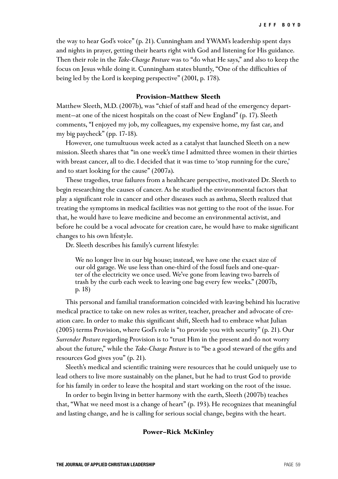the way to hear God's voice" (p. 21). Cunningham and YWAM's leadership spent days and nights in prayer, getting their hearts right with God and listening for His guidance. Then their role in the *Take-Charge Posture* was to "do what He says," and also to keep the focus on Jesus while doing it. Cunningham states bluntly, "One of the difficulties of being led by the Lord is keeping perspective" (2001, p. 178).

## **Provision—Matthew Sleeth**

Matthew Sleeth, M.D. (2007b), was "chief of staff and head of the emergency department—at one of the nicest hospitals on the coast of New England" (p. 17). Sleeth comments, "I enjoyed my job, my colleagues, my expensive home, my fast car, and my big paycheck" (pp. 17-18).

However, one tumultuous week acted as a catalyst that launched Sleeth on a new mission. Sleeth shares that "in one week's time I admitted three women in their thirties with breast cancer, all to die. I decided that it was time to 'stop running for the cure,' and to start looking for the cause" (2007a).

These tragedies, true failures from a healthcare perspective, motivated Dr. Sleeth to begin researching the causes of cancer. As he studied the environmental factors that play a significant role in cancer and other diseases such as asthma, Sleeth realized that treating the symptoms in medical facilities was not getting to the root of the issue. For that, he would have to leave medicine and become an environmental activist, and before he could be a vocal advocate for creation care, he would have to make significant changes to his own lifestyle.

Dr. Sleeth describes his family's current lifestyle:

We no longer live in our big house; instead, we have one the exact size of our old garage. We use less than one-third of the fossil fuels and one-quarter of the electricity we once used. We've gone from leaving two barrels of trash by the curb each week to leaving one bag every few weeks." (2007b, p. 18)

This personal and familial transformation coincided with leaving behind his lucrative medical practice to take on new roles as writer, teacher, preacher and advocate of creation care. In order to make this significant shift, Sleeth had to embrace what Julian (2005) terms Provision, where God's role is "to provide you with security" (p. 21). Our *Surrender Posture* regarding Provision is to "trust Him in the present and do not worry about the future," while the *Take-Charge Posture* is to "be a good steward of the gifts and resources God gives you" (p. 21).

Sleeth's medical and scientific training were resources that he could uniquely use to lead others to live more sustainably on the planet, but he had to trust God to provide for his family in order to leave the hospital and start working on the root of the issue.

In order to begin living in better harmony with the earth, Sleeth (2007b) teaches that, "What we need most is a change of heart" (p. 193). He recognizes that meaningful and lasting change, and he is calling for serious social change, begins with the heart.

#### **Power—Rick McKinley**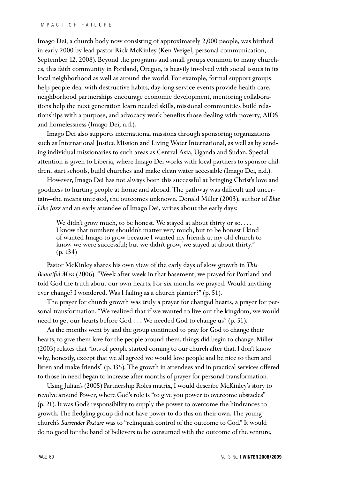Imago Dei, a church body now consisting of approximately 2,000 people, was birthed in early 2000 by lead pastor Rick McKinley (Ken Weigel, personal communication, September 12, 2008). Beyond the programs and small groups common to many churches, this faith community in Portland, Oregon, is heavily involved with social issues in its local neighborhood as well as around the world. For example, formal support groups help people deal with destructive habits, day-long service events provide health care, neighborhood partnerships encourage economic development, mentoring collaborations help the next generation learn needed skills, missional communities build relationships with a purpose, and advocacy work benefits those dealing with poverty, AIDS and homelessness (Imago Dei, n.d.).

Imago Dei also supports international missions through sponsoring organizations such as International Justice Mission and Living Water International, as well as by sending individual missionaries to such areas as Central Asia, Uganda and Sudan. Special attention is given to Liberia, where Imago Dei works with local partners to sponsor children, start schools, build churches and make clean water accessible (Imago Dei, n.d.).

However, Imago Dei has not always been this successful at bringing Christ's love and goodness to hurting people at home and abroad. The pathway was difficult and uncertain—the means untested, the outcomes unknown. Donald Miller (2003), author of *Blue Like Jazz* and an early attendee of Imago Dei, writes about the early days:

We didn't grow much, to be honest. We stayed at about thirty or so.... I know that numbers shouldn't matter very much, but to be honest I kind of wanted Imago to grow because I wanted my friends at my old church to know we were successful; but we didn't grow, we stayed at about thirty." (p. 134)

Pastor McKinley shares his own view of the early days of slow growth in *This Beautiful Mess* (2006). "Week after week in that basement, we prayed for Portland and told God the truth about our own hearts. For six months we prayed. Would anything ever change? I wondered. Was I failing as a church planter?" (p. 51).

The prayer for church growth was truly a prayer for changed hearts, a prayer for personal transformation. "We realized that if we wanted to live out the kingdom, we would need to get our hearts before God. . . . We needed God to change us" (p. 51).

As the months went by and the group continued to pray for God to change their hearts, to give them love for the people around them, things did begin to change. Miller (2003) relates that "lots of people started coming to our church after that. I don't know why, honestly, except that we all agreed we would love people and be nice to them and listen and make friends" (p. 135). The growth in attendees and in practical services offered to those in need began to increase after months of prayer for personal transformation.

Using Julian's (2005) Partnership Roles matrix, I would describe McKinley's story to revolve around Power, where God's role is "to give you power to overcome obstacles" (p. 21). It was God's responsibility to supply the power to overcome the hindrances to growth. The fledgling group did not have power to do this on their own. The young church's *Surrender Posture* was to "relinquish control of the outcome to God." It would do no good for the band of believers to be consumed with the outcome of the venture,